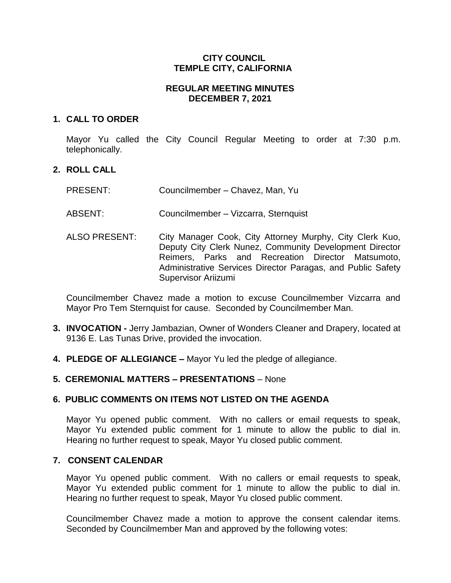### **CITY COUNCIL TEMPLE CITY, CALIFORNIA**

### **REGULAR MEETING MINUTES DECEMBER 7, 2021**

### **1. CALL TO ORDER**

Mayor Yu called the City Council Regular Meeting to order at 7:30 p.m. telephonically.

### **2. ROLL CALL**

- PRESENT: Councilmember Chavez, Man, Yu
- ABSENT: Councilmember Vizcarra, Sternquist
- ALSO PRESENT: City Manager Cook, City Attorney Murphy, City Clerk Kuo, Deputy City Clerk Nunez, Community Development Director Reimers, Parks and Recreation Director Matsumoto, Administrative Services Director Paragas, and Public Safety Supervisor Ariizumi

Councilmember Chavez made a motion to excuse Councilmember Vizcarra and Mayor Pro Tem Sternquist for cause. Seconded by Councilmember Man.

- **3. INVOCATION -** Jerry Jambazian, Owner of Wonders Cleaner and Drapery, located at 9136 E. Las Tunas Drive, provided the invocation.
- **4. PLEDGE OF ALLEGIANCE –** Mayor Yu led the pledge of allegiance.

### **5. CEREMONIAL MATTERS – PRESENTATIONS** – None

### **6. PUBLIC COMMENTS ON ITEMS NOT LISTED ON THE AGENDA**

Mayor Yu opened public comment. With no callers or email requests to speak, Mayor Yu extended public comment for 1 minute to allow the public to dial in. Hearing no further request to speak, Mayor Yu closed public comment.

#### **7. CONSENT CALENDAR**

Mayor Yu opened public comment. With no callers or email requests to speak, Mayor Yu extended public comment for 1 minute to allow the public to dial in. Hearing no further request to speak, Mayor Yu closed public comment.

Councilmember Chavez made a motion to approve the consent calendar items. Seconded by Councilmember Man and approved by the following votes: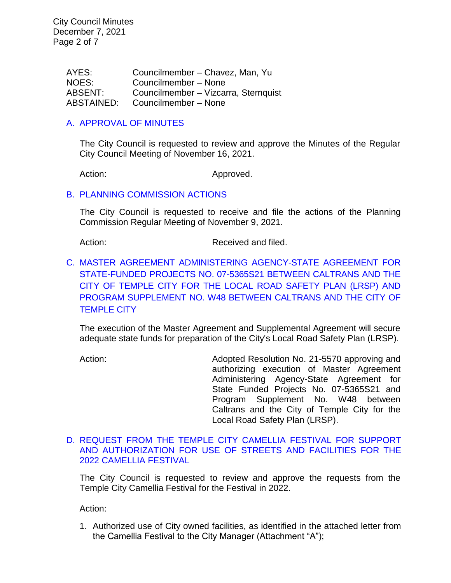City Council Minutes December 7, 2021 Page 2 of 7

> AYES: Councilmember – Chavez, Man, Yu NOES: Councilmember – None ABSENT: Councilmember – Vizcarra, Sternquist ABSTAINED: Councilmember – None

#### [A. APPROVAL OF MINUTES](https://www.ci.temple-city.ca.us/DocumentCenter/View/17059/7A_CCM---2021-11-16)

The City Council is requested to review and approve the Minutes of the Regular City Council Meeting of November 16, 2021.

Action: Approved.

#### B. [PLANNING COMMISSION ACTIONS](https://www.ci.temple-city.ca.us/DocumentCenter/View/17060/7B_7B_PC-Actions---from-2021-11-9)

The City Council is requested to receive and file the actions of the Planning Commission Regular Meeting of November 9, 2021.

Action: Received and filed.

C. [MASTER AGREEMENT ADMINISTERING AGENCY-STATE AGREEMENT FOR](https://www.ci.temple-city.ca.us/DocumentCenter/View/17061/7C_LRSP-Agreement---Staff-Report_Final-w-SP-Edits-Accepted-w-attachments)  [STATE-FUNDED PROJECTS NO. 07-5365S21 BETWEEN CALTRANS AND THE](https://www.ci.temple-city.ca.us/DocumentCenter/View/17061/7C_LRSP-Agreement---Staff-Report_Final-w-SP-Edits-Accepted-w-attachments)  [CITY OF TEMPLE CITY FOR THE LOCAL ROAD SAFETY PLAN \(LRSP\) AND](https://www.ci.temple-city.ca.us/DocumentCenter/View/17061/7C_LRSP-Agreement---Staff-Report_Final-w-SP-Edits-Accepted-w-attachments)  [PROGRAM SUPPLEMENT NO. W48 BETWEEN CALTRANS AND THE CITY OF](https://www.ci.temple-city.ca.us/DocumentCenter/View/17061/7C_LRSP-Agreement---Staff-Report_Final-w-SP-Edits-Accepted-w-attachments)  [TEMPLE CITY](https://www.ci.temple-city.ca.us/DocumentCenter/View/17061/7C_LRSP-Agreement---Staff-Report_Final-w-SP-Edits-Accepted-w-attachments)

The execution of the Master Agreement and Supplemental Agreement will secure adequate state funds for preparation of the City's Local Road Safety Plan (LRSP).

Action: Adopted Resolution No. 21-5570 approving and authorizing execution of Master Agreement Administering Agency-State Agreement for State Funded Projects No. 07-5365S21 and Program Supplement No. W48 between Caltrans and the City of Temple City for the Local Road Safety Plan (LRSP).

#### D. [REQUEST FROM THE TEMPLE CITY CAMELLIA FESTIVAL FOR SUPPORT](https://www.ci.temple-city.ca.us/DocumentCenter/View/17062/7D_Camellia-Festival_Staff-Report_final-w-attachment)  [AND AUTHORIZATION FOR USE OF STREETS AND FACILITIES FOR THE](https://www.ci.temple-city.ca.us/DocumentCenter/View/17062/7D_Camellia-Festival_Staff-Report_final-w-attachment)  [2022 CAMELLIA FESTIVAL](https://www.ci.temple-city.ca.us/DocumentCenter/View/17062/7D_Camellia-Festival_Staff-Report_final-w-attachment)

The City Council is requested to review and approve the requests from the Temple City Camellia Festival for the Festival in 2022.

Action:

1. Authorized use of City owned facilities, as identified in the attached letter from the Camellia Festival to the City Manager (Attachment "A");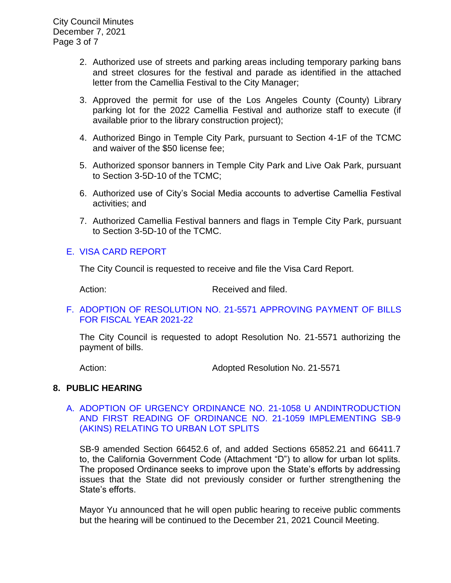City Council Minutes December 7, 2021 Page 3 of 7

- 2. Authorized use of streets and parking areas including temporary parking bans and street closures for the festival and parade as identified in the attached letter from the Camellia Festival to the City Manager;
- 3. Approved the permit for use of the Los Angeles County (County) Library parking lot for the 2022 Camellia Festival and authorize staff to execute (if available prior to the library construction project);
- 4. Authorized Bingo in Temple City Park, pursuant to Section 4-1F of the TCMC and waiver of the \$50 license fee;
- 5. Authorized sponsor banners in Temple City Park and Live Oak Park, pursuant to Section 3-5D-10 of the TCMC;
- 6. Authorized use of City's Social Media accounts to advertise Camellia Festival activities; and
- 7. Authorized Camellia Festival banners and flags in Temple City Park, pursuant to Section 3-5D-10 of the TCMC.

### E. [VISA CARD REPORT](https://www.ci.temple-city.ca.us/DocumentCenter/View/17068/7E_Visa-Card-Staff-Report)

The City Council is requested to receive and file the Visa Card Report.

Action: Received and filed.

### F. [ADOPTION OF RESOLUTION NO. 21-5571](https://www.ci.temple-city.ca.us/DocumentCenter/View/17063/7E_CC-Warrant_Reso-No-21-5571-120721---Warrants--Demands-FY-2021-2022) APPROVING PAYMENT OF BILLS [FOR FISCAL YEAR 2021-22](https://www.ci.temple-city.ca.us/DocumentCenter/View/17063/7E_CC-Warrant_Reso-No-21-5571-120721---Warrants--Demands-FY-2021-2022)

The City Council is requested to adopt Resolution No. 21-5571 authorizing the payment of bills.

Action: **Adopted Resolution No. 21-5571** 

### **8. PUBLIC HEARING**

### A. [ADOPTION OF URGENCY ORDINANCE NO. 21-1058 U ANDINTRODUCTION](https://www.ci.temple-city.ca.us/DocumentCenter/View/17064/8A_SB9-Staff-report_w-attachments)  [AND FIRST READING OF ORDINANCE NO. 21-1059 IMPLEMENTING SB-9](https://www.ci.temple-city.ca.us/DocumentCenter/View/17064/8A_SB9-Staff-report_w-attachments)  [\(AKINS\) RELATING TO URBAN LOT SPLITS](https://www.ci.temple-city.ca.us/DocumentCenter/View/17064/8A_SB9-Staff-report_w-attachments)

SB-9 amended Section 66452.6 of, and added Sections 65852.21 and 66411.7 to, the California Government Code (Attachment "D") to allow for urban lot splits. The proposed Ordinance seeks to improve upon the State's efforts by addressing issues that the State did not previously consider or further strengthening the State's efforts.

Mayor Yu announced that he will open public hearing to receive public comments but the hearing will be continued to the December 21, 2021 Council Meeting.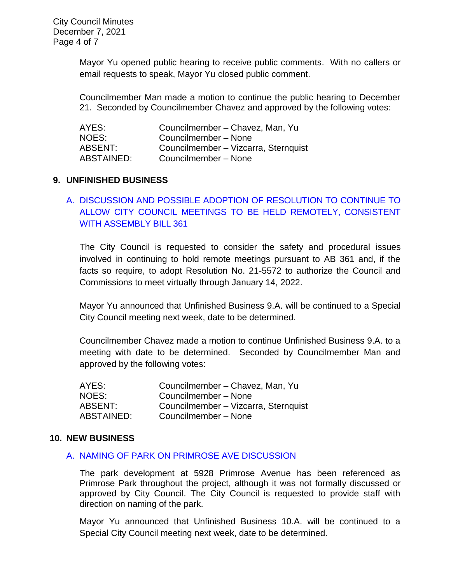City Council Minutes December 7, 2021 Page 4 of 7

> Mayor Yu opened public hearing to receive public comments. With no callers or email requests to speak, Mayor Yu closed public comment.

> Councilmember Man made a motion to continue the public hearing to December 21. Seconded by Councilmember Chavez and approved by the following votes:

| AYES:      | Councilmember - Chavez, Man, Yu      |
|------------|--------------------------------------|
| NOES:      | Councilmember - None                 |
| ABSENT:    | Councilmember - Vizcarra, Sternquist |
| ABSTAINED: | Councilmember - None                 |

#### **9. UNFINISHED BUSINESS**

# A. [DISCUSSION AND POSSIBLE ADOPTION OF RESOLUTION TO CONTINUE TO](https://www.ci.temple-city.ca.us/DocumentCenter/View/17065/9A_Remote-Meeting_Staff-Report_final-w-attachment)  [ALLOW CITY COUNCIL MEETINGS TO BE HELD REMOTELY, CONSISTENT](https://www.ci.temple-city.ca.us/DocumentCenter/View/17065/9A_Remote-Meeting_Staff-Report_final-w-attachment)  [WITH ASSEMBLY BILL 361](https://www.ci.temple-city.ca.us/DocumentCenter/View/17065/9A_Remote-Meeting_Staff-Report_final-w-attachment)

The City Council is requested to consider the safety and procedural issues involved in continuing to hold remote meetings pursuant to AB 361 and, if the facts so require, to adopt Resolution No. 21-5572 to authorize the Council and Commissions to meet virtually through January 14, 2022.

Mayor Yu announced that Unfinished Business 9.A. will be continued to a Special City Council meeting next week, date to be determined.

Councilmember Chavez made a motion to continue Unfinished Business 9.A. to a meeting with date to be determined. Seconded by Councilmember Man and approved by the following votes:

| AYES:      | Councilmember - Chavez, Man, Yu      |
|------------|--------------------------------------|
| NOES:      | Councilmember - None                 |
| ABSENT:    | Councilmember - Vizcarra, Sternquist |
| ABSTAINED: | Councilmember - None                 |

#### **10. NEW BUSINESS**

#### A. [NAMING OF PARK ON PRIMROSE AVE DISCUSSION](https://www.ci.temple-city.ca.us/DocumentCenter/View/17066/10A_Park-Naming_Staff-Report)

The park development at 5928 Primrose Avenue has been referenced as Primrose Park throughout the project, although it was not formally discussed or approved by City Council. The City Council is requested to provide staff with direction on naming of the park.

Mayor Yu announced that Unfinished Business 10.A. will be continued to a Special City Council meeting next week, date to be determined.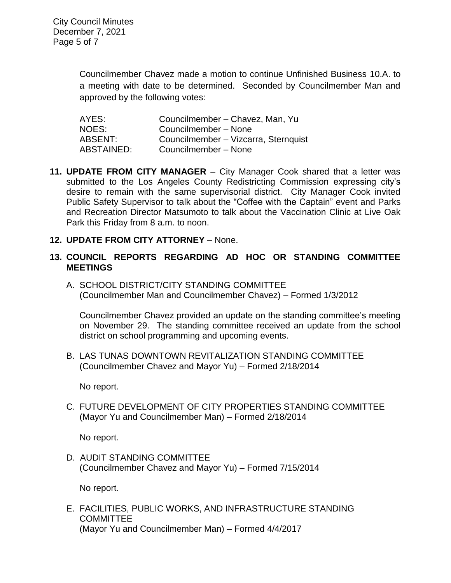Councilmember Chavez made a motion to continue Unfinished Business 10.A. to a meeting with date to be determined. Seconded by Councilmember Man and approved by the following votes:

| AYES:      | Councilmember - Chavez, Man, Yu      |
|------------|--------------------------------------|
| NOES:      | Councilmember - None                 |
| ABSENT:    | Councilmember - Vizcarra, Sternquist |
| ABSTAINED: | Councilmember - None                 |

- **11. UPDATE FROM CITY MANAGER** City Manager Cook shared that a letter was submitted to the Los Angeles County Redistricting Commission expressing city's desire to remain with the same supervisorial district. City Manager Cook invited Public Safety Supervisor to talk about the "Coffee with the Captain" event and Parks and Recreation Director Matsumoto to talk about the Vaccination Clinic at Live Oak Park this Friday from 8 a.m. to noon.
- **12. UPDATE FROM CITY ATTORNEY** None.
- **13. COUNCIL REPORTS REGARDING AD HOC OR STANDING COMMITTEE MEETINGS** 
	- A. SCHOOL DISTRICT/CITY STANDING COMMITTEE (Councilmember Man and Councilmember Chavez) – Formed 1/3/2012

Councilmember Chavez provided an update on the standing committee's meeting on November 29. The standing committee received an update from the school district on school programming and upcoming events.

B. LAS TUNAS DOWNTOWN REVITALIZATION STANDING COMMITTEE (Councilmember Chavez and Mayor Yu) – Formed 2/18/2014

No report.

C. FUTURE DEVELOPMENT OF CITY PROPERTIES STANDING COMMITTEE (Mayor Yu and Councilmember Man) – Formed 2/18/2014

No report.

D. AUDIT STANDING COMMITTEE (Councilmember Chavez and Mayor Yu) – Formed 7/15/2014

No report.

E. FACILITIES, PUBLIC WORKS, AND INFRASTRUCTURE STANDING **COMMITTEE** (Mayor Yu and Councilmember Man) – Formed 4/4/2017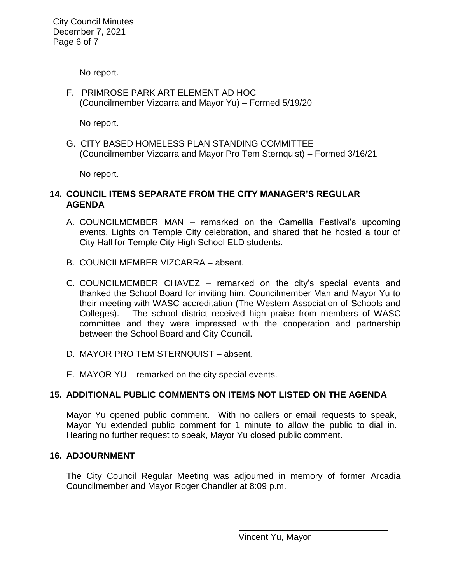City Council Minutes December 7, 2021 Page 6 of 7

No report.

F. PRIMROSE PARK ART ELEMENT AD HOC (Councilmember Vizcarra and Mayor Yu) – Formed 5/19/20

No report.

G. CITY BASED HOMELESS PLAN STANDING COMMITTEE (Councilmember Vizcarra and Mayor Pro Tem Sternquist) – Formed 3/16/21

No report.

## **14. COUNCIL ITEMS SEPARATE FROM THE CITY MANAGER'S REGULAR AGENDA**

- A. COUNCILMEMBER MAN remarked on the Camellia Festival's upcoming events, Lights on Temple City celebration, and shared that he hosted a tour of City Hall for Temple City High School ELD students.
- B. COUNCILMEMBER VIZCARRA absent.
- C. COUNCILMEMBER CHAVEZ remarked on the city's special events and thanked the School Board for inviting him, Councilmember Man and Mayor Yu to their meeting with WASC accreditation (The Western Association of Schools and Colleges). The school district received high praise from members of WASC committee and they were impressed with the cooperation and partnership between the School Board and City Council.
- D. MAYOR PRO TEM STERNQUIST absent.
- E. MAYOR YU remarked on the city special events.

## **15. ADDITIONAL PUBLIC COMMENTS ON ITEMS NOT LISTED ON THE AGENDA**

Mayor Yu opened public comment. With no callers or email requests to speak, Mayor Yu extended public comment for 1 minute to allow the public to dial in. Hearing no further request to speak, Mayor Yu closed public comment.

## **16. ADJOURNMENT**

The City Council Regular Meeting was adjourned in memory of former Arcadia Councilmember and Mayor Roger Chandler at 8:09 p.m.